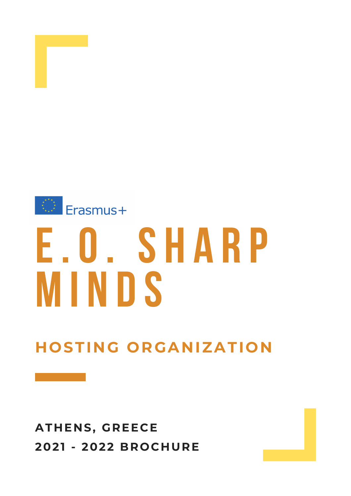# **HOSTING ORGANIZATION**



# Erasmus+ **E.O. S H A R P**

# **ATHENS, GREECE 2021 - 2022 BROCHURE**

# **M I N D S**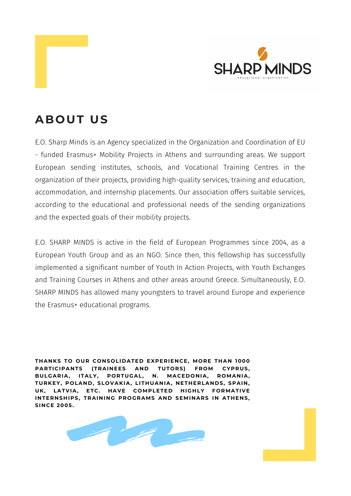E.O. Sharp Minds is an Agency specialized in the Organization and Coordination of EU - funded Erasmus+ Mobility Projects in Athens and surrounding areas. We support European sending institutes, schools, and Vocational Training Centres in the organization of their projects, providing high-quality services, training and education, accommodation, and internship placements. Our association offers suitable services, according to the educational and professional needs of the sending organizations and the expected goals of their mobility projects.

E.O. SHARP MINDS is active in the field of European Programmes since 2004, as a European Youth Group and as an NGO. Since then, this fellowship has successfully implemented a significant number of Youth In Action Projects, with Youth Exchanges and Training Courses in Athens and other areas around Greece. Simultaneously, E.O. SHARP MINDS has allowed many youngsters to travel around Europe and experience the Erasmus+ educational programs.

**THANKS TO OUR CONSOLIDATED EXPERIENCE, MORE THAN 1000 PARTICIPANTS (TRAINEES AND TUTORS) FROM CYPRUS, BULGARIA, ITALY, PORTUGAL, N. MACEDONIA, ROMANIA, TURKEY, POLAND, SLOVAKIA, LITHUANIA, NETHERLANDS, SPAIN, UK, LATVIA, ETC. HAVE COMPLETED HIGHLY FORMATIVE INTERNSHIPS, TRAINING PROGRAMS AND SEMINARS IN ATHENS, SINCE 2005.**









#### **ABOUT US**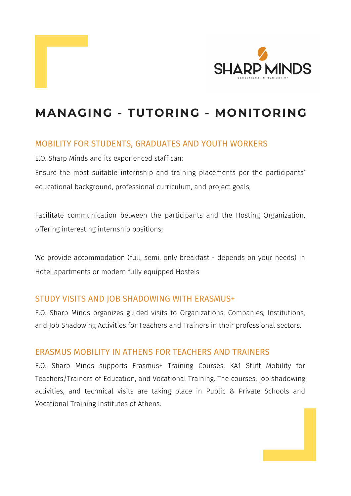



# **MANAGING - TUTORING - MONITORING**

#### MOBILITY FOR STUDENTS, GRADUATES AND YOUTH WORKERS

E.O. Sharp Minds and its experienced staff can:

Ensure the most suitable internship and training placements per the participants' educational background, professional curriculum, and project goals;

Facilitate communication between the participants and the Hosting Organization, offering interesting internship positions;

We provide accommodation (full, semi, only breakfast - depends on your needs) in

#### STUDY VISITS AND JOB SHADOWING WITH ERASMUS+

E.O. Sharp Minds organizes guided visits to Organizations, Companies, Institutions, and Job Shadowing Activities for Teachers and Trainers in their professional sectors.

#### ERASMUS MOBILITY IN ATHENS FOR TEACHERS AND TRAINERS

E.O. Sharp Minds supports Erasmus+ Training Courses, KA1 Stuff Mobility for Teachers/Trainers of Education, and Vocational Training. The courses, job shadowing activities, and technical visits are taking place in Public & Private Schools and Vocational Training Institutes of Athens.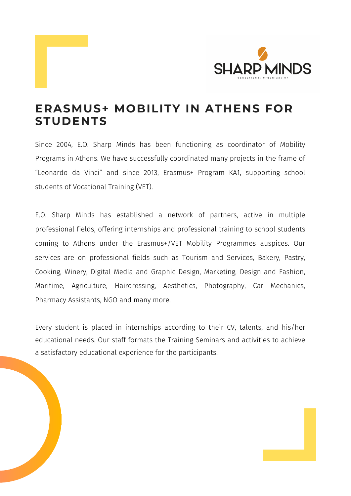Since 2004, E.O. Sharp Minds has been functioning as coordinator of Mobility Programs in Athens. We have successfully coordinated many projects in the frame of "Leonardo da Vinci" and since 2013, Erasmus+ Program KA1, supporting school students of Vocational Training (VET).

E.O. Sharp Minds has established a network of partners, active in multiple professional fields, offering internships and professional training to school students coming to Athens under the Erasmus+/VET Mobility Programmes auspices. Our services are on professional fields such as Tourism and Services, Bakery, Pastry,

Cooking, Winery, Digital Media and Graphic Design, Marketing, Design and Fashion, Maritime, Agriculture, Hairdressing, Aesthetics, Photography, Car Mechanics, Pharmacy Assistants, NGO and many more.

Every student is placed in internships according to their CV, talents, and his/her educational needs. Our staff formats the Training Seminars and activities to achieve a satisfactory educational experience for the participants.





#### **ERASMUS+ MOBILITY IN ATHENS FOR STUDENTS**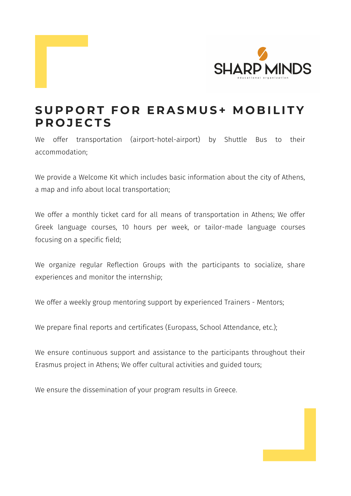We offer transportation (airport-hotel-airport) by Shuttle Bus to their accommodation;

We provide a Welcome Kit which includes basic information about the city of Athens, a map and info about local transportation;

We offer a monthly ticket card for all means of transportation in Athens; We offer Greek language courses, 10 hours per week, or tailor-made language courses focusing on a specific field;

We ensure continuous support and assistance to the participants throughout their Erasmus project in Athens; We offer cultural activities and guided tours;

We organize regular Reflection Groups with the participants to socialize, share experiences and monitor the internship;

We offer a weekly group mentoring support by experienced Trainers - Mentors;

We prepare final reports and certificates (Europass, School Attendance, etc.);





#### SUPPORT FOR ERASMUS+ MOBILITY **P R O J E C T S**

We ensure the dissemination of your program results in Greece.

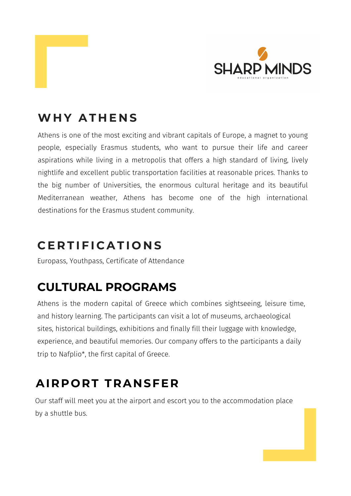Athens is one of the most exciting and vibrant capitals of Europe, a magnet to young people, especially Erasmus students, who want to pursue their life and career aspirations while living in a metropolis that offers a high standard of living, lively nightlife and excellent public transportation facilities at reasonable prices. Thanks to the big number of Universities, the enormous cultural heritage and its beautiful Mediterranean weather, Athens has become one of the high international destinations for the Erasmus student community.

# **CULTURAL PROGRAMS**

Athens is the modern capital of Greece which combines sightseeing, leisure time, and history learning. The participants can visit a lot of museums, archaeological sites, historical buildings, exhibitions and finally fill their luggage with knowledge, experience, and beautiful memories. Our company offers to the participants a daily trip to Nafplio\* , the first capital of Greece.





#### **WH Y A T H E N S**

# **C E R T I F I C A T I O N S**

Europass, Youthpass, Certificate of Attendance

# **AIRPORT TRANSFER**

Our staff will meet you at the airport and escort you to the accommodation place by a shuttle bus.